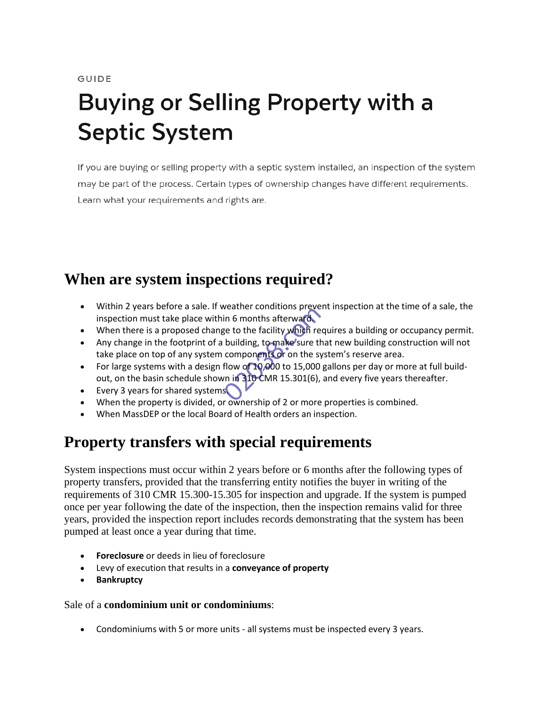GUIDE

# **Buying or Selling Property with a Septic System**

If you are buying or selling property with a septic system installed, an inspection of the system may be part of the process. Certain types of ownership changes have different requirements. Learn what your requirements and rights are.

# **When are system inspections required?**

- Within 2 years before a sale. If weather conditions prevent inspection at the time of a sale, the inspection must take place within 6 months afterward.
- When there is a proposed change to the facility which requires a building or occupancy permit.
- Any change in the footprint of a building, to make sure that new building construction will not take place on top of any system components or on the system's reserve area.
- For large systems with a design flow of 10,000 to 15,000 gallons per day or more at full buildout, on the basin schedule shown in 310 CMR 15.301(6), and every five years thereafter. in 6 months afterward.<br>See to the facility which reduced to the facility which reduced to components of on the symptom of 10,000 to 15,000<br>flow of 10,000 to 15,000 m in 310 CMR 15.301(6),
- Every 3 years for shared systems
- When the property is divided, or ownership of 2 or more properties is combined.
- When MassDEP or the local Board of Health orders an inspection.

# **Property transfers with special requirements**

System inspections must occur within 2 years before or 6 months after the following types of property transfers, provided that the transferring entity notifies the buyer in writing of the requirements of 310 CMR 15.300-15.305 for inspection and upgrade. If the system is pumped once per year following the date of the inspection, then the inspection remains valid for three years, provided the inspection report includes records demonstrating that the system has been pumped at least once a year during that time.

- **Foreclosure** or deeds in lieu of foreclosure
- Levy of execution that results in a **conveyance of property**
- **Bankruptcy**

#### Sale of a **condominium unit or condominiums**:

• Condominiums with 5 or more units - all systems must be inspected every 3 years.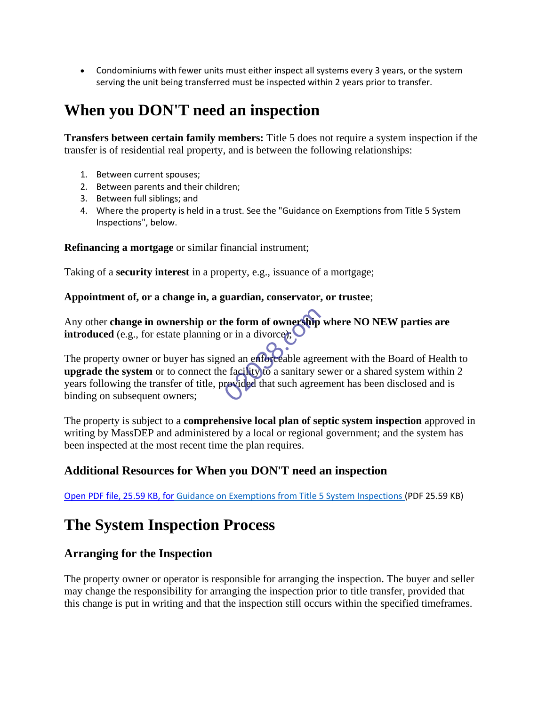• Condominiums with fewer units must either inspect all systems every 3 years, or the system serving the unit being transferred must be inspected within 2 years prior to transfer.

# **When you DON'T need an inspection**

**Transfers between certain family members:** Title 5 does not require a system inspection if the transfer is of residential real property, and is between the following relationships:

- 1. Between current spouses;
- 2. Between parents and their children;
- 3. Between full siblings; and
- 4. Where the property is held in a trust. See the "Guidance on Exemptions from Title 5 System Inspections", below.

## **Refinancing a mortgage** or similar financial instrument;

Taking of a **security interest** in a property, e.g., issuance of a mortgage;

#### **Appointment of, or a change in, a guardian, conservator, or trustee**;

Any other **change in ownership or the form of ownership where NO NEW parties are introduced** (e.g., for estate planning or in a divorce);

The property owner or buyer has signed an enforceable agreement with the Board of Health to **upgrade the system** or to connect the facility to a sanitary sewer or a shared system within 2 years following the transfer of title, provided that such agreement has been disclosed and is binding on subsequent owners; the form of ownership<br>or in a divorce):<br>and an enforceable agre<br>e facility to a sanitary s<br>revided that such agree

The property is subject to a **comprehensive local plan of septic system inspection** approved in writing by MassDEP and administered by a local or regional government; and the system has been inspected at the most recent time the plan requires.

# **Additional Resources for When you DON'T need an inspection**

Open PDF file, 25.59 KB, for [Guidance on Exemptions from Title 5 System Inspections \(](https://www.mass.gov/doc/guidance-on-exemptions-from-title-5-system-inspections/download)PDF 25.59 KB)

# **The System Inspection Process**

# **Arranging for the Inspection**

The property owner or operator is responsible for arranging the inspection. The buyer and seller may change the responsibility for arranging the inspection prior to title transfer, provided that this change is put in writing and that the inspection still occurs within the specified timeframes.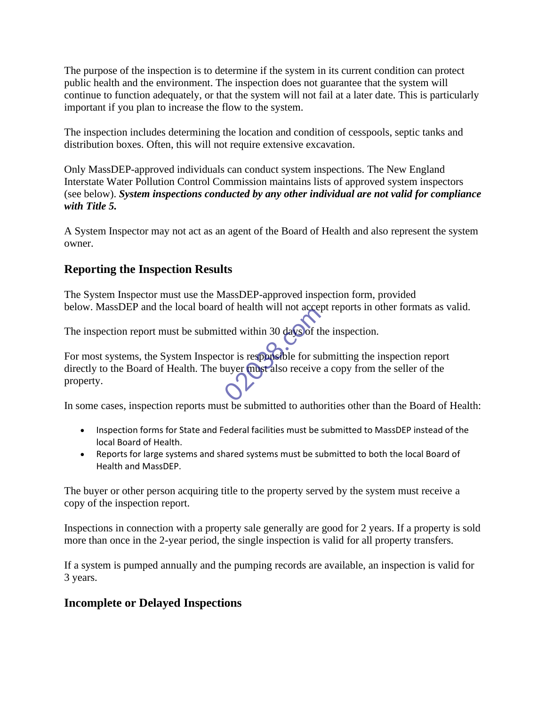The purpose of the inspection is to determine if the system in its current condition can protect public health and the environment. The inspection does not guarantee that the system will continue to function adequately, or that the system will not fail at a later date. This is particularly important if you plan to increase the flow to the system.

The inspection includes determining the location and condition of cesspools, septic tanks and distribution boxes. Often, this will not require extensive excavation.

Only MassDEP-approved individuals can conduct system inspections. The New England Interstate Water Pollution Control Commission maintains lists of approved system inspectors (see below). *System inspections conducted by any other individual are not valid for compliance with Title 5.*

A System Inspector may not act as an agent of the Board of Health and also represent the system owner.

# **Reporting the Inspection Results**

The System Inspector must use the MassDEP-approved inspection form, provided below. MassDEP and the local board of health will not accept reports in other formats as valid.

The inspection report must be submitted within 30 days of the inspection.

For most systems, the System Inspector is responsible for submitting the inspection report directly to the Board of Health. The buyer must also receive a copy from the seller of the property. of health will not accepted within 30 days of the toric is responsible for survey to the state of the control of the control of the control of the control of the control of the control of the control of the control of the

In some cases, inspection reports must be submitted to authorities other than the Board of Health:

- Inspection forms for State and Federal facilities must be submitted to MassDEP instead of the local Board of Health.
- Reports for large systems and shared systems must be submitted to both the local Board of Health and MassDEP.

The buyer or other person acquiring title to the property served by the system must receive a copy of the inspection report.

Inspections in connection with a property sale generally are good for 2 years. If a property is sold more than once in the 2-year period, the single inspection is valid for all property transfers.

If a system is pumped annually and the pumping records are available, an inspection is valid for 3 years.

# **Incomplete or Delayed Inspections**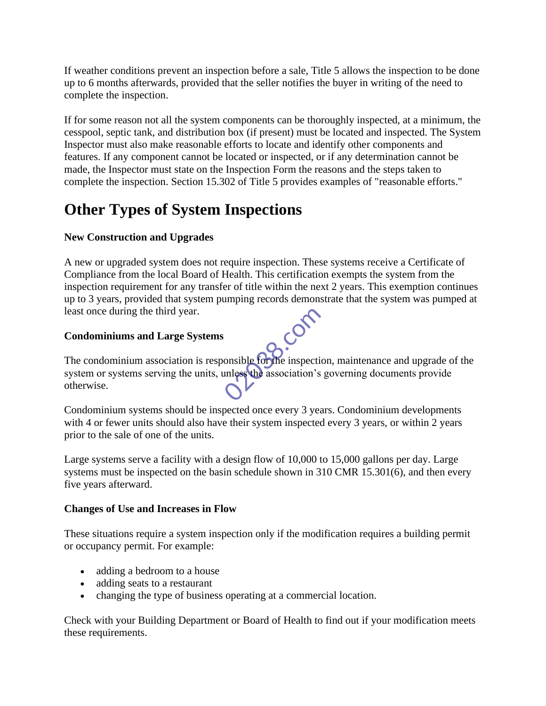If weather conditions prevent an inspection before a sale, Title 5 allows the inspection to be done up to 6 months afterwards, provided that the seller notifies the buyer in writing of the need to complete the inspection.

If for some reason not all the system components can be thoroughly inspected, at a minimum, the cesspool, septic tank, and distribution box (if present) must be located and inspected. The System Inspector must also make reasonable efforts to locate and identify other components and features. If any component cannot be located or inspected, or if any determination cannot be made, the Inspector must state on the Inspection Form the reasons and the steps taken to complete the inspection. Section 15.302 of Title 5 provides examples of "reasonable efforts."

# **Other Types of System Inspections**

## **New Construction and Upgrades**

A new or upgraded system does not require inspection. These systems receive a Certificate of Compliance from the local Board of Health. This certification exempts the system from the inspection requirement for any transfer of title within the next 2 years. This exemption continues up to 3 years, provided that system pumping records demonstrate that the system was pumped at least once during the third year.<br> **Condominiums and Large Systems** least once during the third year.

## **Condominiums and Large Systems**

The condominium association is responsible for the inspection, maintenance and upgrade of the system or systems serving the units, unless the association's governing documents provide otherwise. onsible forthe inspection experience of the association's

Condominium systems should be inspected once every 3 years. Condominium developments with 4 or fewer units should also have their system inspected every 3 years, or within 2 years prior to the sale of one of the units.

Large systems serve a facility with a design flow of 10,000 to 15,000 gallons per day. Large systems must be inspected on the basin schedule shown in 310 CMR 15.301(6), and then every five years afterward.

## **Changes of Use and Increases in Flow**

These situations require a system inspection only if the modification requires a building permit or occupancy permit. For example:

- adding a bedroom to a house
- adding seats to a restaurant
- changing the type of business operating at a commercial location.

Check with your Building Department or Board of Health to find out if your modification meets these requirements.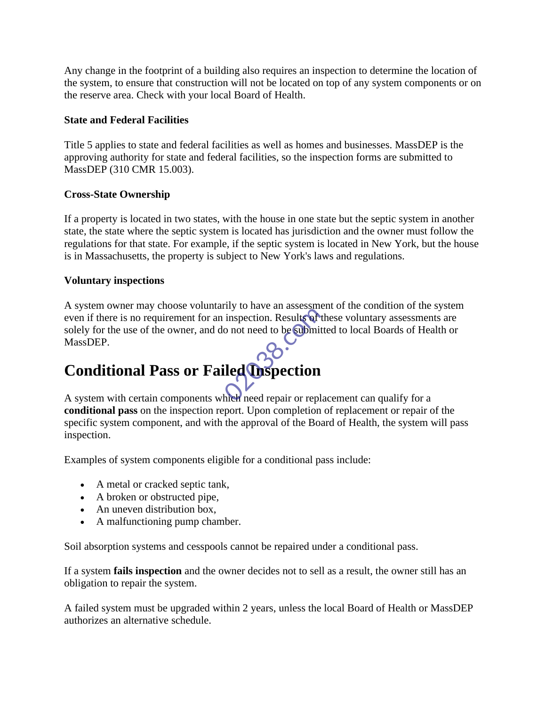Any change in the footprint of a building also requires an inspection to determine the location of the system, to ensure that construction will not be located on top of any system components or on the reserve area. Check with your local Board of Health.

## **State and Federal Facilities**

Title 5 applies to state and federal facilities as well as homes and businesses. MassDEP is the approving authority for state and federal facilities, so the inspection forms are submitted to MassDEP (310 CMR 15.003).

## **Cross-State Ownership**

If a property is located in two states, with the house in one state but the septic system in another state, the state where the septic system is located has jurisdiction and the owner must follow the regulations for that state. For example, if the septic system is located in New York, but the house is in Massachusetts, the property is subject to New York's laws and regulations.

## **Voluntary inspections**

A system owner may choose voluntarily to have an assessment of the condition of the system even if there is no requirement for an inspection. Results of these voluntary assessments are solely for the use of the owner, and do not need to be submitted to local Boards of Health or MassDEP. iny to have an assessment<br>inspection. Results of<br>o not need to be submit<br>iled **inspection** 

# **Conditional Pass or Failed Inspection**

A system with certain components which need repair or replacement can qualify for a **conditional pass** on the inspection report. Upon completion of replacement or repair of the specific system component, and with the approval of the Board of Health, the system will pass inspection.

Examples of system components eligible for a conditional pass include:

- A metal or cracked septic tank,
- A broken or obstructed pipe,
- An uneven distribution box,
- A malfunctioning pump chamber.

Soil absorption systems and cesspools cannot be repaired under a conditional pass.

If a system **fails inspection** and the owner decides not to sell as a result, the owner still has an obligation to repair the system.

A failed system must be upgraded within 2 years, unless the local Board of Health or MassDEP authorizes an alternative schedule.